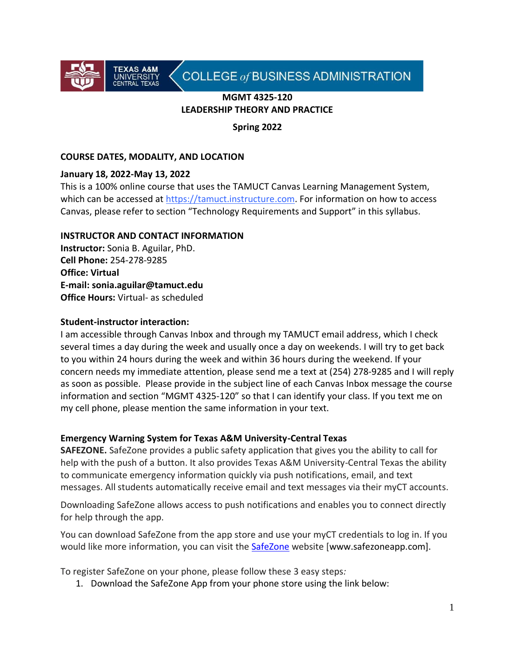

# COLLEGE of BUSINESS ADMINISTRATION

#### **MGMT 4325-120 LEADERSHIP THEORY AND PRACTICE**

**Spring 2022**

# **COURSE DATES, MODALITY, AND LOCATION**

#### **January 18, 2022-May 13, 2022**

This is a 100% online course that uses the TAMUCT Canvas Learning Management System, which can be accessed at https://tamuct.instructure.com. For information on how to access Canvas, please refer to section "Technology Requirements and Support" in this syllabus.

#### **INSTRUCTOR AND CONTACT INFORMATION**

**Instructor:** Sonia B. Aguilar, PhD. **Cell Phone:** 254-278-9285 **Office: Virtual E-mail: sonia.aguilar@tamuct.edu Office Hours:** Virtual- as scheduled

#### **Student-instructor interaction:**

I am accessible through Canvas Inbox and through my TAMUCT email address, which I check several times a day during the week and usually once a day on weekends. I will try to get back to you within 24 hours during the week and within 36 hours during the weekend. If your concern needs my immediate attention, please send me a text at (254) 278-9285 and I will reply as soon as possible. Please provide in the subject line of each Canvas Inbox message the course information and section "MGMT 4325-120" so that I can identify your class. If you text me on my cell phone, please mention the same information in your text.

#### **Emergency Warning System for Texas A&M University-Central Texas**

**SAFEZONE.** SafeZone provides a public safety application that gives you the ability to call for help with the push of a button. It also provides Texas A&M University-Central Texas the ability to communicate emergency information quickly via push notifications, email, and text messages. All students automatically receive email and text messages via their myCT accounts.

Downloading SafeZone allows access to push notifications and enables you to connect directly for help through the app.

You can download SafeZone from the app store and use your myCT credentials to log in. If you would like more information, you can visit the **[SafeZone](http://www.safezoneapp.com/)** website [www.safezoneapp.com].

To register SafeZone on your phone, please follow these 3 easy steps*:*

1. Download the SafeZone App from your phone store using the link below: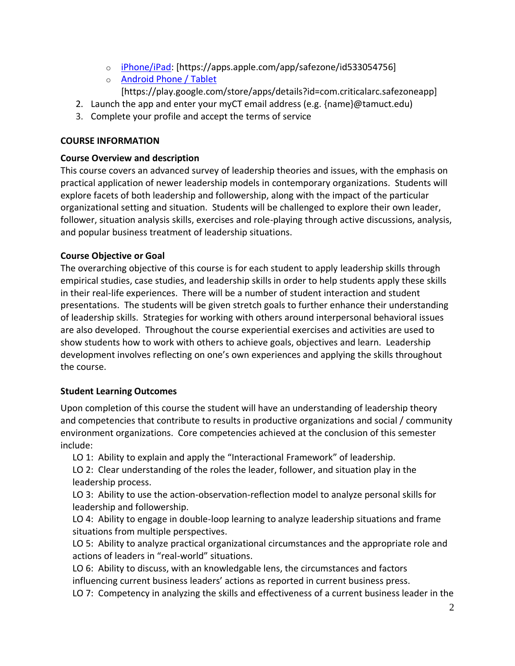- o [iPhone/iPad:](https://apps.apple.com/app/safezone/id533054756) [https://apps.apple.com/app/safezone/id533054756]
- o [Android Phone / Tablet](https://play.google.com/store/apps/details?id=com.criticalarc.safezoneapp) [https://play.google.com/store/apps/details?id=com.criticalarc.safezoneapp]
- 2. Launch the app and enter your myCT email address (e.g. {name}@tamuct.edu)
- 3. Complete your profile and accept the terms of service

#### **COURSE INFORMATION**

#### **Course Overview and description**

This course covers an advanced survey of leadership theories and issues, with the emphasis on practical application of newer leadership models in contemporary organizations. Students will explore facets of both leadership and followership, along with the impact of the particular organizational setting and situation. Students will be challenged to explore their own leader, follower, situation analysis skills, exercises and role-playing through active discussions, analysis, and popular business treatment of leadership situations.

#### **Course Objective or Goal**

The overarching objective of this course is for each student to apply leadership skills through empirical studies, case studies, and leadership skills in order to help students apply these skills in their real-life experiences. There will be a number of student interaction and student presentations. The students will be given stretch goals to further enhance their understanding of leadership skills. Strategies for working with others around interpersonal behavioral issues are also developed. Throughout the course experiential exercises and activities are used to show students how to work with others to achieve goals, objectives and learn. Leadership development involves reflecting on one's own experiences and applying the skills throughout the course.

# **Student Learning Outcomes**

Upon completion of this course the student will have an understanding of leadership theory and competencies that contribute to results in productive organizations and social / community environment organizations. Core competencies achieved at the conclusion of this semester include:

LO 1: Ability to explain and apply the "Interactional Framework" of leadership.

LO 2: Clear understanding of the roles the leader, follower, and situation play in the leadership process.

LO 3: Ability to use the action-observation-reflection model to analyze personal skills for leadership and followership.

LO 4: Ability to engage in double-loop learning to analyze leadership situations and frame situations from multiple perspectives.

LO 5: Ability to analyze practical organizational circumstances and the appropriate role and actions of leaders in "real-world" situations.

LO 6: Ability to discuss, with an knowledgable lens, the circumstances and factors influencing current business leaders' actions as reported in current business press. LO 7: Competency in analyzing the skills and effectiveness of a current business leader in the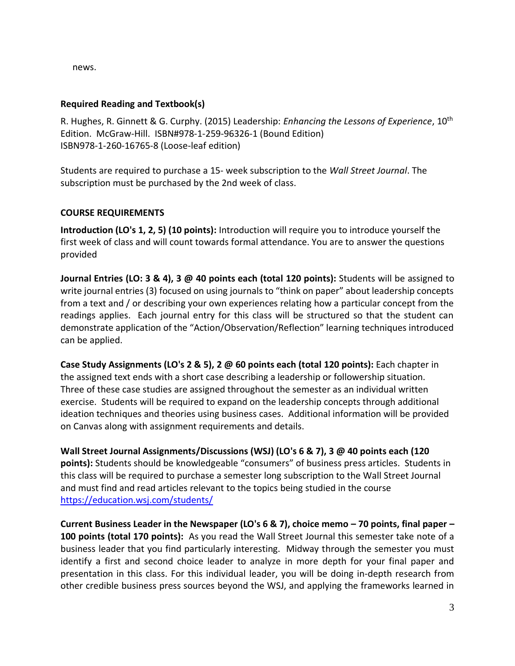news.

#### **Required Reading and Textbook(s)**

R. Hughes, R. Ginnett & G. Curphy. (2015) Leadership: *Enhancing the Lessons of Experience*, 10th Edition. McGraw-Hill. ISBN#978-1-259-96326-1 (Bound Edition) ISBN978-1-260-16765-8 (Loose-leaf edition)

Students are required to purchase a 15- week subscription to the *Wall Street Journal*. The subscription must be purchased by the 2nd week of class.

# **COURSE REQUIREMENTS**

**Introduction (LO's 1, 2, 5) (10 points):** Introduction will require you to introduce yourself the first week of class and will count towards formal attendance. You are to answer the questions provided

**Journal Entries (LO: 3 & 4), 3 @ 40 points each (total 120 points):** Students will be assigned to write journal entries (3) focused on using journals to "think on paper" about leadership concepts from a text and / or describing your own experiences relating how a particular concept from the readings applies. Each journal entry for this class will be structured so that the student can demonstrate application of the "Action/Observation/Reflection" learning techniques introduced can be applied.

**Case Study Assignments (LO's 2 & 5), 2 @ 60 points each (total 120 points):** Each chapter in the assigned text ends with a short case describing a leadership or followership situation. Three of these case studies are assigned throughout the semester as an individual written exercise. Students will be required to expand on the leadership concepts through additional ideation techniques and theories using business cases. Additional information will be provided on Canvas along with assignment requirements and details.

**Wall Street Journal Assignments/Discussions (WSJ) (LO's 6 & 7), 3 @ 40 points each (120 points):** Students should be knowledgeable "consumers" of business press articles. Students in this class will be required to purchase a semester long subscription to the Wall Street Journal and must find and read articles relevant to the topics being studied in the course <https://education.wsj.com/students/>

**Current Business Leader in the Newspaper (LO's 6 & 7), choice memo – 70 points, final paper – 100 points (total 170 points):** As you read the Wall Street Journal this semester take note of a business leader that you find particularly interesting. Midway through the semester you must identify a first and second choice leader to analyze in more depth for your final paper and presentation in this class. For this individual leader, you will be doing in-depth research from other credible business press sources beyond the WSJ, and applying the frameworks learned in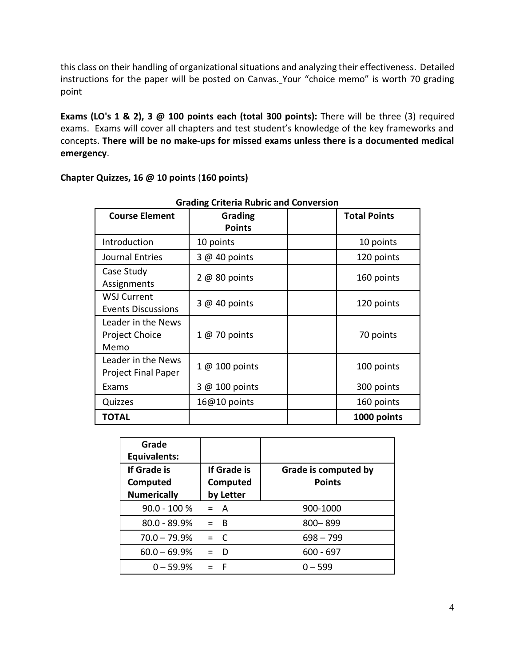this class on their handling of organizational situations and analyzing their effectiveness. Detailed instructions for the paper will be posted on Canvas. Your "choice memo" is worth 70 grading point

**Exams (LO's 1 & 2), 3 @ 100 points each (total 300 points):** There will be three (3) required exams. Exams will cover all chapters and test student's knowledge of the key frameworks and concepts. **There will be no make-ups for missed exams unless there is a documented medical emergency**.

| <b>Grading Criteria Rubric and Conversion</b>       |                          |  |                     |  |
|-----------------------------------------------------|--------------------------|--|---------------------|--|
| <b>Course Element</b>                               | Grading<br><b>Points</b> |  | <b>Total Points</b> |  |
| Introduction                                        | 10 points                |  | 10 points           |  |
| Journal Entries                                     | $3@40$ points            |  | 120 points          |  |
| Case Study<br>Assignments                           | $2@80$ points            |  | 160 points          |  |
| <b>WSJ Current</b><br><b>Events Discussions</b>     | 3 @ 40 points            |  | 120 points          |  |
| Leader in the News<br><b>Project Choice</b><br>Memo | 1 @ 70 points            |  | 70 points           |  |
| Leader in the News<br><b>Project Final Paper</b>    | 1 @ 100 points           |  | 100 points          |  |
| Exams                                               | 3 @ 100 points           |  | 300 points          |  |
| Quizzes                                             | 16@10 points             |  | 160 points          |  |
| TOTAL                                               |                          |  | 1000 points         |  |

# **Chapter Quizzes, 16 @ 10 points** (**160 points)**

| Grade<br>Equivalents:                         |                                      |                                       |
|-----------------------------------------------|--------------------------------------|---------------------------------------|
| If Grade is<br>Computed<br><b>Numerically</b> | If Grade is<br>Computed<br>by Letter | Grade is computed by<br><b>Points</b> |
| $90.0 - 100 %$                                | $= A$                                | 900-1000                              |
| 80.0 - 89.9%                                  | $=$ B                                | 800-899                               |
| $70.0 - 79.9%$                                | $= C$                                | $698 - 799$                           |
| $60.0 - 69.9%$                                | D                                    | $600 - 697$                           |
| $0 - 59.9%$                                   | F                                    | $0 - 599$                             |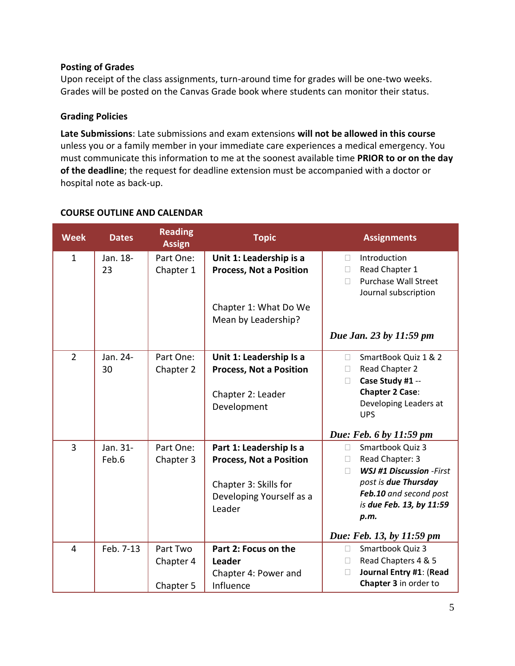#### **Posting of Grades**

Upon receipt of the class assignments, turn-around time for grades will be one-two weeks. Grades will be posted on the Canvas Grade book where students can monitor their status.

#### **Grading Policies**

**Late Submissions**: Late submissions and exam extensions **will not be allowed in this course** unless you or a family member in your immediate care experiences a medical emergency. You must communicate this information to me at the soonest available time **PRIOR to or on the day of the deadline**; the request for deadline extension must be accompanied with a doctor or hospital note as back-up.

| <b>Week</b>    | <b>Dates</b>      | <b>Reading</b><br><b>Assign</b>    | <b>Topic</b>                                                                                                             | <b>Assignments</b>                                                                                                                                                                                            |
|----------------|-------------------|------------------------------------|--------------------------------------------------------------------------------------------------------------------------|---------------------------------------------------------------------------------------------------------------------------------------------------------------------------------------------------------------|
| $\mathbf{1}$   | Jan. 18-<br>23    | Part One:<br>Chapter 1             | Unit 1: Leadership is a<br><b>Process, Not a Position</b><br>Chapter 1: What Do We<br>Mean by Leadership?                | Introduction<br>$\Box$<br>Read Chapter 1<br>П.<br><b>Purchase Wall Street</b><br>$\Box$<br>Journal subscription<br>Due Jan. 23 by 11:59 pm                                                                    |
| $\overline{2}$ | Jan. 24-<br>30    | Part One:<br>Chapter 2             | Unit 1: Leadership Is a<br><b>Process, Not a Position</b><br>Chapter 2: Leader<br>Development                            | SmartBook Quiz 1 & 2<br>$\Box$<br>Read Chapter 2<br>$\Box$<br>Case Study #1 --<br>$\Box$<br><b>Chapter 2 Case:</b><br>Developing Leaders at<br><b>UPS</b><br>Due: Feb. 6 by 11:59 pm                          |
| $\overline{3}$ | Jan. 31-<br>Feb.6 | Part One:<br>Chapter 3             | Part 1: Leadership Is a<br><b>Process, Not a Position</b><br>Chapter 3: Skills for<br>Developing Yourself as a<br>Leader | Smartbook Quiz 3<br>$\Box$<br>Read Chapter: 3<br>$\Box$<br><b>WSJ #1 Discussion -First</b><br>post is due Thursday<br>Feb.10 and second post<br>is due Feb. 13, by 11:59<br>p.m.<br>Due: Feb. 13, by 11:59 pm |
| $\overline{4}$ | Feb. 7-13         | Part Two<br>Chapter 4<br>Chapter 5 | Part 2: Focus on the<br><b>Leader</b><br>Chapter 4: Power and<br>Influence                                               | Smartbook Quiz 3<br>$\Box$<br>Read Chapters 4 & 5<br>$\Box$<br>Journal Entry #1: (Read<br>П<br>Chapter 3 in order to                                                                                          |

# **COURSE OUTLINE AND CALENDAR**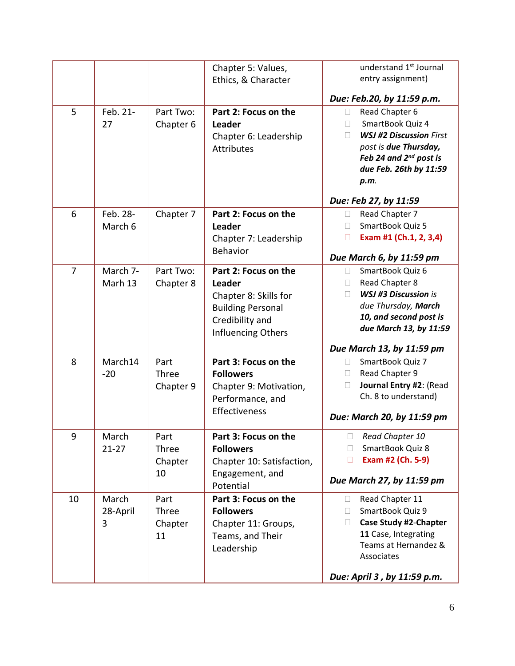|                |                        |                                | Chapter 5: Values,<br>Ethics, & Character                                                                                    | understand 1 <sup>st</sup> Journal<br>entry assignment)                                                                                                                                                                                          |
|----------------|------------------------|--------------------------------|------------------------------------------------------------------------------------------------------------------------------|--------------------------------------------------------------------------------------------------------------------------------------------------------------------------------------------------------------------------------------------------|
| 5              | Feb. 21-<br>27         | Part Two:<br>Chapter 6         | Part 2: Focus on the<br>Leader<br>Chapter 6: Leadership<br><b>Attributes</b>                                                 | Due: Feb.20, by 11:59 p.m.<br>Read Chapter 6<br>$\Box$<br>SmartBook Quiz 4<br>П<br><b>WSJ #2 Discussion First</b><br>П<br>post is due Thursday,<br>Feb 24 and 2 <sup>nd</sup> post is<br>due Feb. 26th by 11:59<br>p.m.<br>Due: Feb 27, by 11:59 |
| 6              | Feb. 28-<br>March 6    | Chapter 7                      | Part 2: Focus on the<br>Leader<br>Chapter 7: Leadership<br><b>Behavior</b>                                                   | Read Chapter 7<br>П<br>SmartBook Quiz 5<br>П<br>Exam #1 (Ch.1, 2, 3,4)<br>$\Box$<br>Due March 6, by 11:59 pm                                                                                                                                     |
| $\overline{7}$ | March 7-<br>Marh 13    | Part Two:<br>Chapter 8         | Part 2: Focus on the<br>Leader<br>Chapter 8: Skills for<br><b>Building Personal</b><br>Credibility and<br>Influencing Others | SmartBook Quiz 6<br>П.<br>Read Chapter 8<br>$\Box$<br><b>WSJ #3 Discussion is</b><br>$\Box$<br>due Thursday, March<br>10, and second post is<br>due March 13, by 11:59<br>Due March 13, by 11:59 pm                                              |
| 8              | March14<br>$-20$       | Part<br>Three<br>Chapter 9     | Part 3: Focus on the<br><b>Followers</b><br>Chapter 9: Motivation,<br>Performance, and<br>Effectiveness                      | SmartBook Quiz 7<br>П<br>Read Chapter 9<br>П<br>Journal Entry #2: (Read<br>$\Box$<br>Ch. 8 to understand)<br>Due: March 20, by 11:59 pm                                                                                                          |
| 9              | March<br>$21 - 27$     | Part<br>Three<br>Chapter<br>10 | Part 3: Focus on the<br><b>Followers</b><br>Chapter 10: Satisfaction,<br>Engagement, and<br>Potential                        | $\Box$ Read Chapter 10<br>SmartBook Quiz 8<br>П<br>Exam #2 (Ch. 5-9)<br>$\Box$<br>Due March 27, by 11:59 pm                                                                                                                                      |
| 10             | March<br>28-April<br>3 | Part<br>Three<br>Chapter<br>11 | Part 3: Focus on the<br><b>Followers</b><br>Chapter 11: Groups,<br>Teams, and Their<br>Leadership                            | Read Chapter 11<br>$\Box$<br>SmartBook Quiz 9<br>П<br><b>Case Study #2-Chapter</b><br>П<br>11 Case, Integrating<br>Teams at Hernandez &<br>Associates<br>Due: April 3, by 11:59 p.m.                                                             |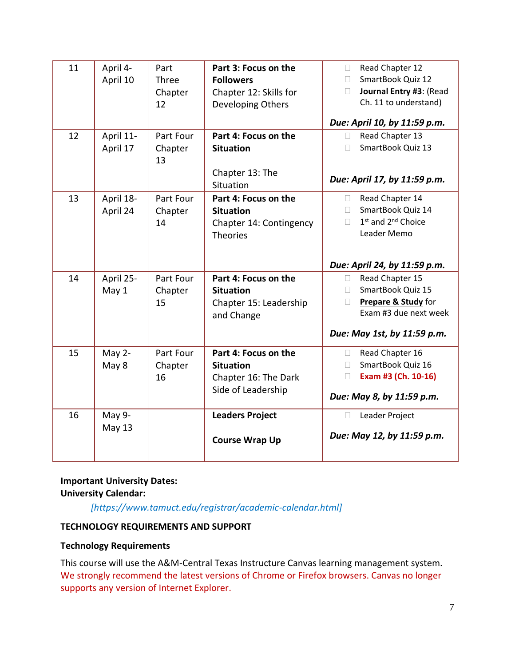| 11 | April 4-<br>April 10    | Part<br>Three<br>Chapter<br>12 | Part 3: Focus on the<br><b>Followers</b><br>Chapter 12: Skills for<br>Developing Others | Read Chapter 12<br>$\Box$<br>SmartBook Quiz 12<br>П.<br>Journal Entry #3: (Read<br>П<br>Ch. 11 to understand)                            |
|----|-------------------------|--------------------------------|-----------------------------------------------------------------------------------------|------------------------------------------------------------------------------------------------------------------------------------------|
|    |                         |                                |                                                                                         | Due: April 10, by 11:59 p.m.                                                                                                             |
| 12 | April 11-<br>April 17   | Part Four<br>Chapter<br>13     | Part 4: Focus on the<br><b>Situation</b>                                                | Read Chapter 13<br>П<br>SmartBook Quiz 13<br>П                                                                                           |
|    |                         |                                | Chapter 13: The<br>Situation                                                            | Due: April 17, by 11:59 p.m.                                                                                                             |
| 13 | April 18-<br>April 24   | Part Four<br>Chapter<br>14     | Part 4: Focus on the<br><b>Situation</b><br>Chapter 14: Contingency<br><b>Theories</b>  | Read Chapter 14<br>$\Box$<br>SmartBook Quiz 14<br>П.<br>1 <sup>st</sup> and 2 <sup>nd</sup> Choice<br>$\Box$<br>Leader Memo              |
|    |                         |                                |                                                                                         | Due: April 24, by 11:59 p.m.                                                                                                             |
| 14 | April 25-<br>May 1      | Part Four<br>Chapter<br>15     | Part 4: Focus on the<br><b>Situation</b><br>Chapter 15: Leadership<br>and Change        | Read Chapter 15<br>$\Box$<br>SmartBook Quiz 15<br>П.<br>Prepare & Study for<br>П<br>Exam #3 due next week<br>Due: May 1st, by 11:59 p.m. |
| 15 | May 2-<br>May 8         | Part Four<br>Chapter<br>16     | Part 4: Focus on the<br><b>Situation</b><br>Chapter 16: The Dark<br>Side of Leadership  | Read Chapter 16<br>$\Box$<br>SmartBook Quiz 16<br>П<br>Exam #3 (Ch. 10-16)<br>П<br>Due: May 8, by 11:59 p.m.                             |
| 16 | May 9-<br><b>May 13</b> |                                | <b>Leaders Project</b><br><b>Course Wrap Up</b>                                         | Leader Project<br>П<br>Due: May 12, by 11:59 p.m.                                                                                        |

#### **Important University Dates: University Calendar:**

*[https://www.tamuct.edu/registrar/academic-calendar.html]*

# **TECHNOLOGY REQUIREMENTS AND SUPPORT**

# **Technology Requirements**

This course will use the A&M-Central Texas Instructure Canvas learning management system. We strongly recommend the latest versions of Chrome or Firefox browsers. Canvas no longer supports any version of Internet Explorer.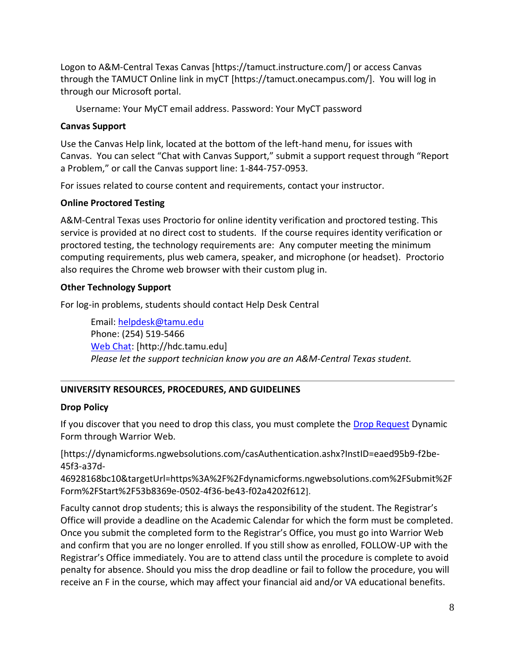Logon to A&M-Central Texas Canvas [https://tamuct.instructure.com/] or access Canvas through the TAMUCT Online link in myCT [https://tamuct.onecampus.com/]. You will log in through our Microsoft portal.

Username: Your MyCT email address. Password: Your MyCT password

#### **Canvas Support**

Use the Canvas Help link, located at the bottom of the left-hand menu, for issues with Canvas. You can select "Chat with Canvas Support," submit a support request through "Report a Problem," or call the Canvas support line: 1-844-757-0953.

For issues related to course content and requirements, contact your instructor.

# **Online Proctored Testing**

A&M-Central Texas uses Proctorio for online identity verification and proctored testing. This service is provided at no direct cost to students. If the course requires identity verification or proctored testing, the technology requirements are: Any computer meeting the minimum computing requirements, plus web camera, speaker, and microphone (or headset). Proctorio also requires the Chrome web browser with their custom plug in.

#### **Other Technology Support**

For log-in problems, students should contact Help Desk Central

Email: [helpdesk@tamu.edu](mailto:helpdesk@tamu.edu) Phone: (254) 519-5466 [Web Chat:](http://hdc.tamu.edu/) [http://hdc.tamu.edu] *Please let the support technician know you are an A&M-Central Texas student.*

# **UNIVERSITY RESOURCES, PROCEDURES, AND GUIDELINES**

# **Drop Policy**

If you discover that you need to drop this class, you must complete the [Drop Request](https://dynamicforms.ngwebsolutions.com/casAuthentication.ashx?InstID=eaed95b9-f2be-45f3-a37d-46928168bc10&targetUrl=https%3A%2F%2Fdynamicforms.ngwebsolutions.com%2FSubmit%2FForm%2FStart%2F53b8369e-0502-4f36-be43-f02a4202f612) Dynamic Form through Warrior Web.

[https://dynamicforms.ngwebsolutions.com/casAuthentication.ashx?InstID=eaed95b9-f2be-45f3-a37d-

46928168bc10&targetUrl=https%3A%2F%2Fdynamicforms.ngwebsolutions.com%2FSubmit%2F Form%2FStart%2F53b8369e-0502-4f36-be43-f02a4202f612].

Faculty cannot drop students; this is always the responsibility of the student. The Registrar's Office will provide a deadline on the Academic Calendar for which the form must be completed. Once you submit the completed form to the Registrar's Office, you must go into Warrior Web and confirm that you are no longer enrolled. If you still show as enrolled, FOLLOW-UP with the Registrar's Office immediately. You are to attend class until the procedure is complete to avoid penalty for absence. Should you miss the drop deadline or fail to follow the procedure, you will receive an F in the course, which may affect your financial aid and/or VA educational benefits.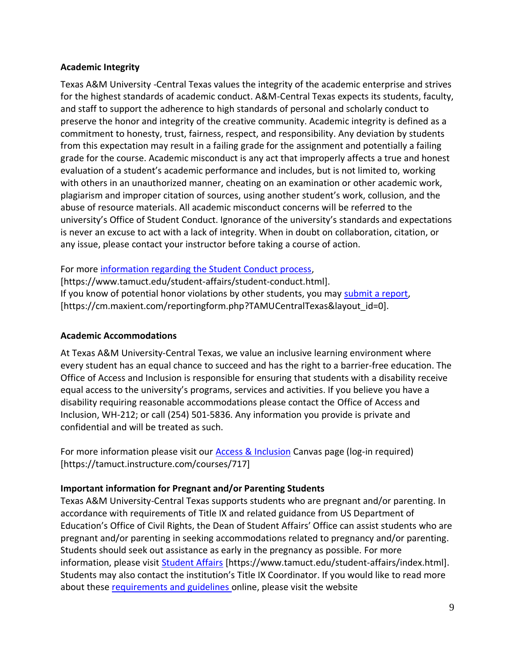#### **Academic Integrity**

Texas A&M University -Central Texas values the integrity of the academic enterprise and strives for the highest standards of academic conduct. A&M-Central Texas expects its students, faculty, and staff to support the adherence to high standards of personal and scholarly conduct to preserve the honor and integrity of the creative community. Academic integrity is defined as a commitment to honesty, trust, fairness, respect, and responsibility. Any deviation by students from this expectation may result in a failing grade for the assignment and potentially a failing grade for the course. Academic misconduct is any act that improperly affects a true and honest evaluation of a student's academic performance and includes, but is not limited to, working with others in an unauthorized manner, cheating on an examination or other academic work, plagiarism and improper citation of sources, using another student's work, collusion, and the abuse of resource materials. All academic misconduct concerns will be referred to the university's Office of Student Conduct. Ignorance of the university's standards and expectations is never an excuse to act with a lack of integrity. When in doubt on collaboration, citation, or any issue, please contact your instructor before taking a course of action.

For more [information regarding the Student Conduct process,](https://www.tamuct.edu/student-affairs/student-conduct.html)

[https://www.tamuct.edu/student-affairs/student-conduct.html]. If you know of potential honor violations by other students, you may [submit a report,](https://cm.maxient.com/reportingform.php?TAMUCentralTexas&layout_id=0) [https://cm.maxient.com/reportingform.php?TAMUCentralTexas&layout\_id=0].

#### **Academic Accommodations**

At Texas A&M University-Central Texas, we value an inclusive learning environment where every student has an equal chance to succeed and has the right to a barrier-free education. The Office of Access and Inclusion is responsible for ensuring that students with a disability receive equal access to the university's programs, services and activities. If you believe you have a disability requiring reasonable accommodations please contact the Office of Access and Inclusion, WH-212; or call (254) 501-5836. Any information you provide is private and confidential and will be treated as such.

For more information please visit our [Access & Inclusion](https://tamuct.instructure.com/courses/717) Canvas page (log-in required) [https://tamuct.instructure.com/courses/717]

# **Important information for Pregnant and/or Parenting Students**

Texas A&M University-Central Texas supports students who are pregnant and/or parenting. In accordance with requirements of Title IX and related guidance from US Department of Education's Office of Civil Rights, the Dean of Student Affairs' Office can assist students who are pregnant and/or parenting in seeking accommodations related to pregnancy and/or parenting. Students should seek out assistance as early in the pregnancy as possible. For more information, please visit [Student Affairs](https://www.tamuct.edu/student-affairs/index.html) [https://www.tamuct.edu/student-affairs/index.html]. Students may also contact the institution's Title IX Coordinator. If you would like to read more about these [requirements and guidelines](http://www2.ed.gov/about/offices/list/ocr/docs/pregnancy.pdf) online, please visit the website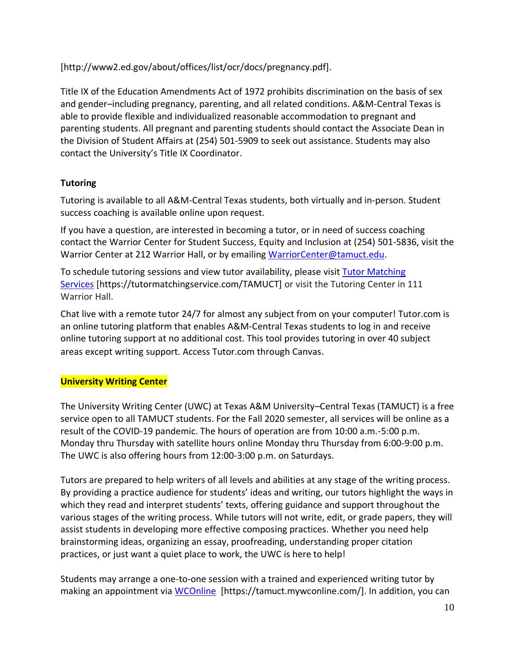[http://www2.ed.gov/about/offices/list/ocr/docs/pregnancy.pdf].

Title IX of the Education Amendments Act of 1972 prohibits discrimination on the basis of sex and gender–including pregnancy, parenting, and all related conditions. A&M-Central Texas is able to provide flexible and individualized reasonable accommodation to pregnant and parenting students. All pregnant and parenting students should contact the Associate Dean in the Division of Student Affairs at (254) 501-5909 to seek out assistance. Students may also contact the University's Title IX Coordinator.

# **Tutoring**

Tutoring is available to all A&M-Central Texas students, both virtually and in-person. Student success coaching is available online upon request.

If you have a question, are interested in becoming a tutor, or in need of success coaching contact the Warrior Center for Student Success, Equity and Inclusion at (254) 501-5836, visit the Warrior Center at 212 Warrior Hall, or by emailing [WarriorCenter@tamuct.edu.](mailto:WarriorCenter@tamuct.edu)

To schedule tutoring sessions and view tutor availability, please visit Tutor [Matching](https://tutormatchingservice.com/TAMUCT) [Services](https://tutormatchingservice.com/TAMUCT) [https://tutormatchingservice.com/TAMUCT] or visit the Tutoring Center in 111 Warrior Hall.

Chat live with a remote tutor 24/7 for almost any subject from on your computer! Tutor.com is an online tutoring platform that enables A&M-Central Texas students to log in and receive online tutoring support at no additional cost. This tool provides tutoring in over 40 subject areas except writing support. Access Tutor.com through Canvas.

# **University Writing Center**

The University Writing Center (UWC) at Texas A&M University–Central Texas (TAMUCT) is a free service open to all TAMUCT students. For the Fall 2020 semester, all services will be online as a result of the COVID-19 pandemic. The hours of operation are from 10:00 a.m.-5:00 p.m. Monday thru Thursday with satellite hours online Monday thru Thursday from 6:00-9:00 p.m. The UWC is also offering hours from 12:00-3:00 p.m. on Saturdays.

Tutors are prepared to help writers of all levels and abilities at any stage of the writing process. By providing a practice audience for students' ideas and writing, our tutors highlight the ways in which they read and interpret students' texts, offering guidance and support throughout the various stages of the writing process. While tutors will not write, edit, or grade papers, they will assist students in developing more effective composing practices. Whether you need help brainstorming ideas, organizing an essay, proofreading, understanding proper citation practices, or just want a quiet place to work, the UWC is here to help!

Students may arrange a one-to-one session with a trained and experienced writing tutor by making an appointment via [WCOnline](https://tamuct.mywconline.com/) [https://tamuct.mywconline.com/]. In addition, you can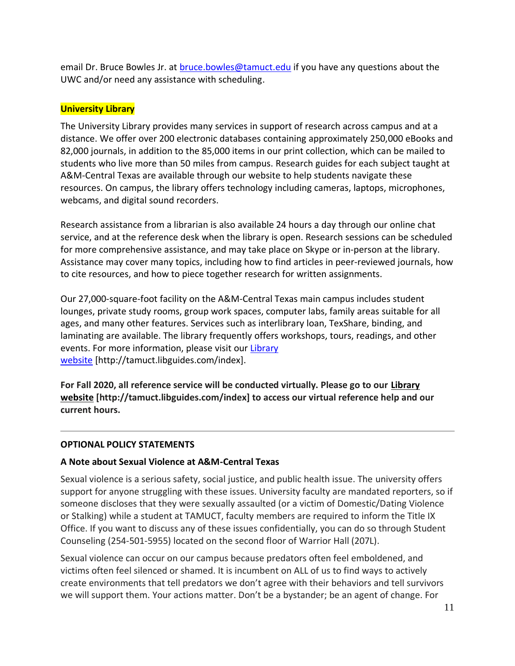email Dr. Bruce Bowles Jr. at [bruce.bowles@tamuct.edu](mailto:bruce.bowles@tamuct.edu) if you have any questions about the UWC and/or need any assistance with scheduling.

#### **University Library**

The University Library provides many services in support of research across campus and at a distance. We offer over 200 electronic databases containing approximately 250,000 eBooks and 82,000 journals, in addition to the 85,000 items in our print collection, which can be mailed to students who live more than 50 miles from campus. Research guides for each subject taught at A&M-Central Texas are available through our website to help students navigate these resources. On campus, the library offers technology including cameras, laptops, microphones, webcams, and digital sound recorders.

Research assistance from a librarian is also available 24 hours a day through our online chat service, and at the reference desk when the library is open. Research sessions can be scheduled for more comprehensive assistance, and may take place on Skype or in-person at the library. Assistance may cover many topics, including how to find articles in peer-reviewed journals, how to cite resources, and how to piece together research for written assignments.

Our 27,000-square-foot facility on the A&M-Central Texas main campus includes student lounges, private study rooms, group work spaces, computer labs, family areas suitable for all ages, and many other features. Services such as interlibrary loan, TexShare, binding, and laminating are available. The library frequently offers workshops, tours, readings, and other events. For more information, please visit our [Library](https://tamuct.libguides.com/index) [website](https://tamuct.libguides.com/index) [http://tamuct.libguides.com/index].

**For Fall 2020, all reference service will be conducted virtually. Please go to our [Library](https://tamuct.libguides.com/index) [website](https://tamuct.libguides.com/index) [http://tamuct.libguides.com/index] to access our virtual reference help and our current hours.**

#### **OPTIONAL POLICY STATEMENTS**

# **A Note about Sexual Violence at A&M-Central Texas**

Sexual violence is a serious safety, social justice, and public health issue. The university offers support for anyone struggling with these issues. University faculty are mandated reporters, so if someone discloses that they were sexually assaulted (or a victim of Domestic/Dating Violence or Stalking) while a student at TAMUCT, faculty members are required to inform the Title IX Office. If you want to discuss any of these issues confidentially, you can do so through Student Counseling (254-501-5955) located on the second floor of Warrior Hall (207L).

Sexual violence can occur on our campus because predators often feel emboldened, and victims often feel silenced or shamed. It is incumbent on ALL of us to find ways to actively create environments that tell predators we don't agree with their behaviors and tell survivors we will support them. Your actions matter. Don't be a bystander; be an agent of change. For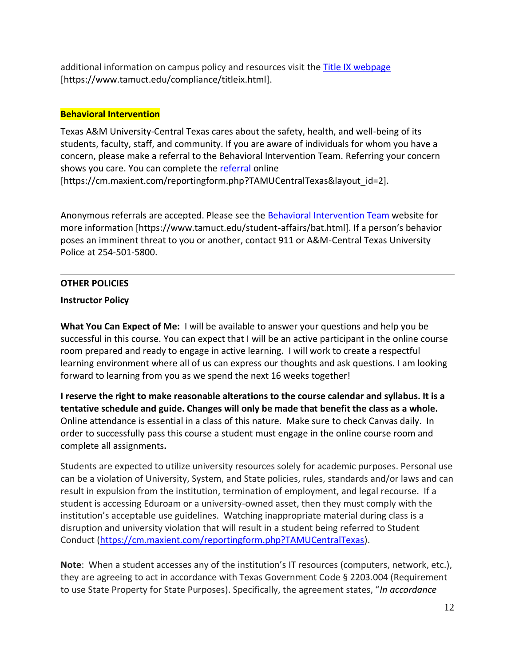additional information on campus policy and resources visit the [Title IX webpage](https://www.tamuct.edu/compliance/titleix.html) [\[https://www.tamuct.edu/compliance/titleix.html\]](https://www.tamuct.edu/compliance/titleix.html).

# **Behavioral Intervention**

Texas A&M University-Central Texas cares about the safety, health, and well-being of its students, faculty, staff, and community. If you are aware of individuals for whom you have a concern, please make a referral to the Behavioral Intervention Team. Referring your concern shows you care. You can complete the [referral](https://cm.maxient.com/reportingform.php?TAMUCentralTexas&layout_id=2) online [https://cm.maxient.com/reportingform.php?TAMUCentralTexas&layout\_id=2].

Anonymous referrals are accepted. Please see the [Behavioral Intervention Team](https://www.tamuct.edu/student-affairs/bat.html) website for more information [https://www.tamuct.edu/student-affairs/bat.html]. If a person's behavior poses an imminent threat to you or another, contact 911 or A&M-Central Texas University Police at 254-501-5800.

#### **OTHER POLICIES**

#### **Instructor Policy**

**What You Can Expect of Me:** I will be available to answer your questions and help you be successful in this course. You can expect that I will be an active participant in the online course room prepared and ready to engage in active learning. I will work to create a respectful learning environment where all of us can express our thoughts and ask questions. I am looking forward to learning from you as we spend the next 16 weeks together!

**I reserve the right to make reasonable alterations to the course calendar and syllabus. It is a tentative schedule and guide. Changes will only be made that benefit the class as a whole.**  Online attendance is essential in a class of this nature. Make sure to check Canvas daily. In order to successfully pass this course a student must engage in the online course room and complete all assignments**.**

Students are expected to utilize university resources solely for academic purposes. Personal use can be a violation of University, System, and State policies, rules, standards and/or laws and can result in expulsion from the institution, termination of employment, and legal recourse. If a student is accessing Eduroam or a university-owned asset, then they must comply with the institution's acceptable use guidelines. Watching inappropriate material during class is a disruption and university violation that will result in a student being referred to Student Conduct [\(https://cm.maxient.com/reportingform.php?TAMUCentralTexas\)](https://cm.maxient.com/reportingform.php?TAMUCentralTexas).

**Note**: When a student accesses any of the institution's IT resources (computers, network, etc.), they are agreeing to act in accordance with Texas Government Code § 2203.004 (Requirement to use State Property for State Purposes). Specifically, the agreement states, "*In accordance*